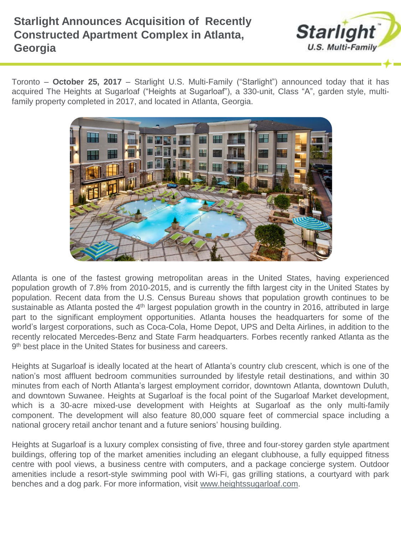# **Starlight Announces Acquisition of Recently Constructed Apartment Complex in Atlanta, Georgia**



Toronto – **October 25, 2017** – Starlight U.S. Multi-Family ("Starlight") announced today that it has acquired The Heights at Sugarloaf ("Heights at Sugarloaf"), a 330-unit, Class "A", garden style, multifamily property completed in 2017, and located in Atlanta, Georgia.



Atlanta is one of the fastest growing metropolitan areas in the United States, having experienced population growth of 7.8% from 2010-2015, and is currently the fifth largest city in the United States by population. Recent data from the U.S. Census Bureau shows that population growth continues to be sustainable as Atlanta posted the 4<sup>th</sup> largest population growth in the country in 2016, attributed in large part to the significant employment opportunities. Atlanta houses the headquarters for some of the world's largest corporations, such as Coca-Cola, Home Depot, UPS and Delta Airlines, in addition to the recently relocated Mercedes-Benz and State Farm headquarters. Forbes recently ranked Atlanta as the 9<sup>th</sup> best place in the United States for business and careers.

Heights at Sugarloaf is ideally located at the heart of Atlanta's country club crescent, which is one of the nation's most affluent bedroom communities surrounded by lifestyle retail destinations, and within 30 minutes from each of North Atlanta's largest employment corridor, downtown Atlanta, downtown Duluth, and downtown Suwanee. Heights at Sugarloaf is the focal point of the Sugarloaf Market development, which is a 30-acre mixed-use development with Heights at Sugarloaf as the only multi-family component. The development will also feature 80,000 square feet of commercial space including a national grocery retail anchor tenant and a future seniors' housing building.

Heights at Sugarloaf is a luxury complex consisting of five, three and four-storey garden style apartment buildings, offering top of the market amenities including an elegant clubhouse, a fully equipped fitness centre with pool views, a business centre with computers, and a package concierge system. Outdoor amenities include a resort-style swimming pool with Wi-Fi, gas grilling stations, a courtyard with park benches and a dog park. For more information, visit [www.heightssugarloaf.com](http://www.heightssugarloaf.com/).